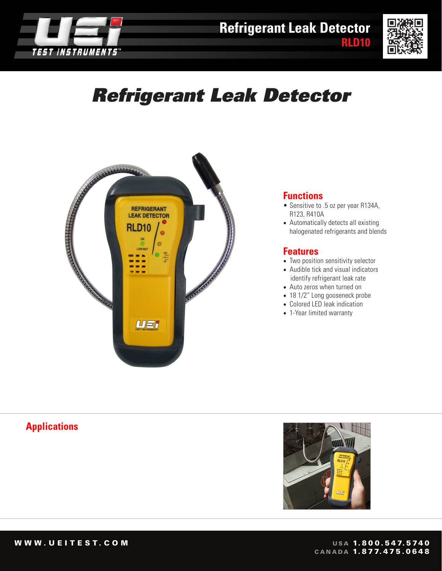



# *Refrigerant Leak Detector*



#### **Functions**

- Sensitive to .5 oz per year R134A, R123, R410A
- Automatically detects all existing halogenated refrigerants and blends

#### **Features**

- Two position sensitivity selector
- Audible tick and visual indicators identify refrigerant leak rate
- Auto zeros when turned on
- 18 1/2" Long gooseneck probe
- Colored LED leak indication
- 1-Year limited warranty

## **Applications**